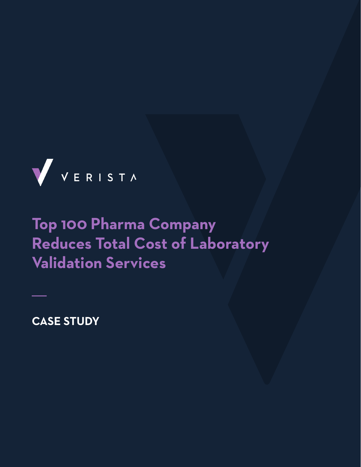

# **Top 100 Pharma Company Reduces Total Cost of Laboratory Validation Services**

**CASE STUDY**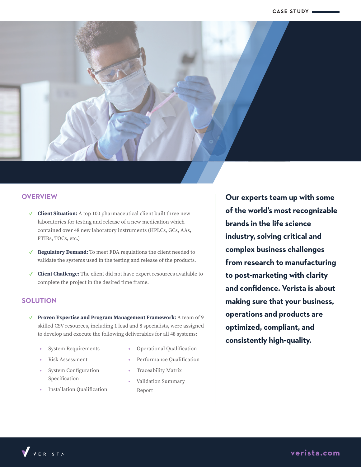

#### **OVERVIEW**

- ✓ **Client Situation:** A top 100 pharmaceutical client built three new laboratories for testing and release of a new medication which contained over 48 new laboratory instruments (HPLCs, GCs, AAs, FTIRs, TOCs, etc.)
- ✓ **Regulatory Demand:** To meet FDA regulations the client needed to validate the systems used in the testing and release of the products.
- ✓ **Client Challenge:** The client did not have expert resources available to complete the project in the desired time frame.

## **SOLUTION**

- ✓ **Proven Expertise and Program Management Framework:** A team of 9 skilled CSV resources, including 1 lead and 8 specialists, were assigned to develop and execute the following deliverables for all 48 systems:
	- System Requirements
	- Risk Assessment
	- System Configuration Specification
	- Installation Qualification
- Operational Qualification
- Performance Qualification
- Traceability Matrix
- Validation Summary Report

**Our experts team up with some of the world's most recognizable brands in the life science industry, solving critical and complex business challenges from research to manufacturing to post-marketing with clarity and confidence. Verista is about making sure that your business, operations and products are optimized, compliant, and consistently high-quality.**